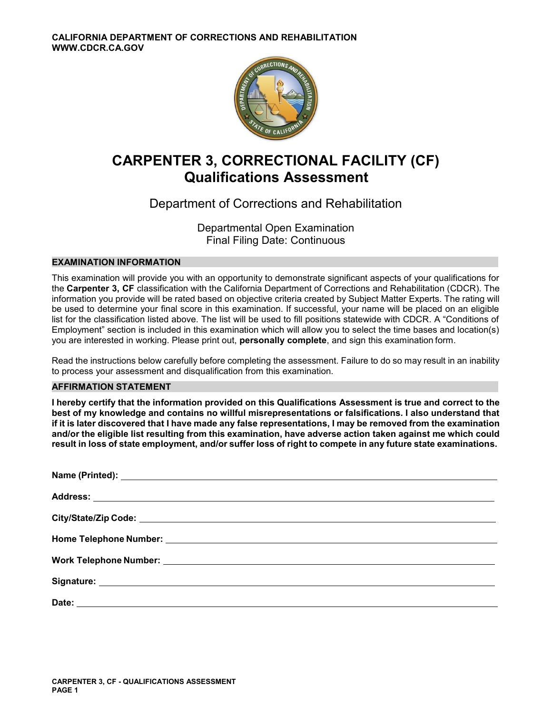

# **CARPENTER 3, CORRECTIONAL FACILITY (CF) Qualifications Assessment**

# Department of Corrections and Rehabilitation

Departmental Open Examination Final Filing Date: Continuous

# **EXAMINATION INFORMATION**

This examination will provide you with an opportunity to demonstrate significant aspects of your qualifications for the **Carpenter 3, CF** classification with the California Department of Corrections and Rehabilitation (CDCR). The information you provide will be rated based on objective criteria created by Subject Matter Experts. The rating will be used to determine your final score in this examination. If successful, your name will be placed on an eligible list for the classification listed above. The list will be used to fill positions statewide with CDCR. A "Conditions of Employment" section is included in this examination which will allow you to select the time bases and location(s) you are interested in working. Please print out, **personally complete**, and sign this examination form.

Read the instructions below carefully before completing the assessment. Failure to do so may result in an inability to process your assessment and disqualification from this examination.

# **AFFIRMATION STATEMENT**

**I hereby certify that the information provided on this Qualifications Assessment is true and correct to the best of my knowledge and contains no willful misrepresentations or falsifications. I also understand that if it is later discovered that I have made any false representations, I may be removed from the examination and/or the eligible list resulting from this examination, have adverse action taken against me which could result in loss of state employment, and/or suffer loss of right to compete in any future state examinations.**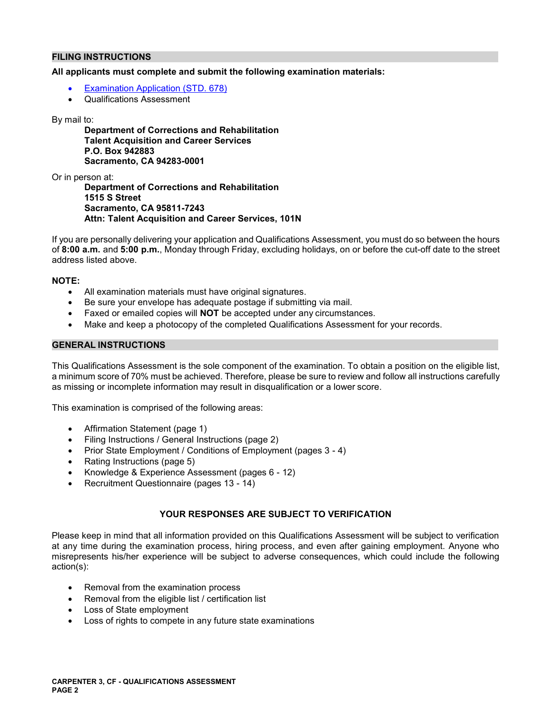# **FILING INSTRUCTIONS**

# **All applicants must complete and submit the following examination materials:**

- [Examination Application \(STD. 678\)](https://jobs.ca.gov/pdf/STD678.pdf)
- Qualifications Assessment

By mail to:

**Department of Corrections and Rehabilitation Talent Acquisition and Career Services P.O. Box 942883 Sacramento, CA 94283-0001** 

Or in person at:

**Department of Corrections and Rehabilitation 1515 S Street Sacramento, CA 95811-7243 Attn: Talent Acquisition and Career Services, 101N** 

If you are personally delivering your application and Qualifications Assessment, you must do so between the hours of **8:00 a.m.** and **5:00 p.m.**, Monday through Friday, excluding holidays, on or before the cut-off date to the street address listed above.

# **NOTE:**

- All examination materials must have original signatures.
- Be sure your envelope has adequate postage if submitting via mail.
- Faxed or emailed copies will **NOT** be accepted under any circumstances.
- Make and keep a photocopy of the completed Qualifications Assessment for your records.

# **GENERAL INSTRUCTIONS**

This Qualifications Assessment is the sole component of the examination. To obtain a position on the eligible list, a minimum score of 70% must be achieved. Therefore, please be sure to review and follow all instructions carefully as missing or incomplete information may result in disqualification or a lower score.

This examination is comprised of the following areas:

- Affirmation Statement (page 1)
- Filing Instructions / General Instructions (page 2)
- Prior State Employment / Conditions of Employment (pages 3 4)
- Rating Instructions (page 5)
- Knowledge & Experience Assessment (pages 6 12)
- Recruitment Questionnaire (pages 13 14)

# **YOUR RESPONSES ARE SUBJECT TO VERIFICATION**

Please keep in mind that all information provided on this Qualifications Assessment will be subject to verification at any time during the examination process, hiring process, and even after gaining employment. Anyone who misrepresents his/her experience will be subject to adverse consequences, which could include the following action(s):

- Removal from the examination process
- Removal from the eligible list / certification list
- Loss of State employment
- Loss of rights to compete in any future state examinations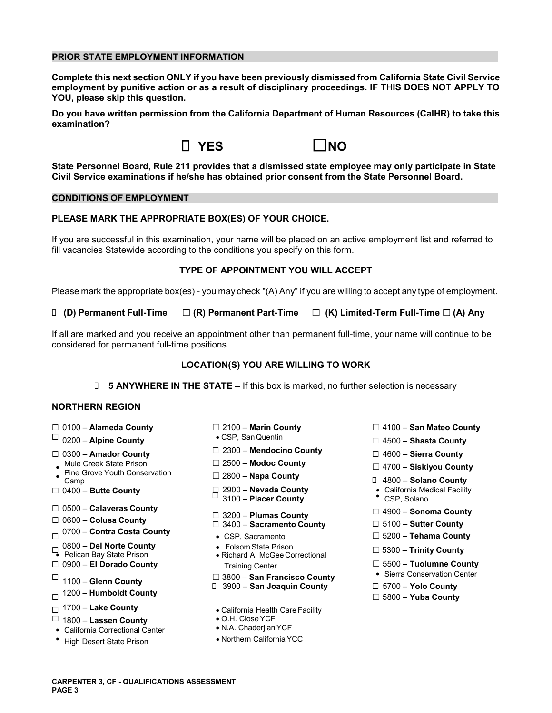# **PRIOR STATE EMPLOYMENT INFORMATION**

**Complete this next section ONLY if you have been previously dismissed from California State Civil Service employment by punitive action or as a result of disciplinary proceedings. IF THIS DOES NOT APPLY TO YOU, please skip this question.** 

**Do you have written permission from the California Department of Human Resources (CalHR) to take this examination?** 



**State Personnel Board, Rule 211 provides that a dismissed state employee may only participate in State Civil Service examinations if he/she has obtained prior consent from the State Personnel Board.** 

# **CONDITIONS OF EMPLOYMENT**

# **PLEASE MARK THE APPROPRIATE BOX(ES) OF YOUR CHOICE.**

If you are successful in this examination, your name will be placed on an active employment list and referred to fill vacancies Statewide according to the conditions you specify on this form.

# **TYPE OF APPOINTMENT YOU WILL ACCEPT**

Please mark the appropriate box(es) - you may check "(A) Any" if you are willing to accept any type of employment.

☐ **(D) Permanent Full-Time** ☐ **(R) Permanent Part-Time** ☐ **(K) Limited-Term Full-Time** ☐ **(A) Any** 

If all are marked and you receive an appointment other than permanent full-time, your name will continue to be considered for permanent full-time positions.

# **LOCATION(S) YOU ARE WILLING TO WORK**

☐ **5 ANYWHERE IN THE STATE –** If this box is marked, no further selection is necessary

# **NORTHERN REGION**

- 
- ☐ 0200 **Alpine County**  CSP, San Quentin ☐ 4500 **Shasta County**
- 
- Mule Creek State Prison <br>● Pine Grove Youth Conservation **□ 2500 Napa County Departy Department of Active County**
- 
- 
- 
- 0700 **Contra Costa County** ☐ CSP, Sacramento ☐ 5200 **Tehama County**
- 
- 
- 
- ☐ Sierra Conservation Center ☐ 3800 **San Francisco County** 1100 **Glenn County** ☐ 3900 **San Joaquin County** ☐ 5700 **Yolo County** 1200 ☐ **Humboldt County** ☐ 5800 **Yuba County**
- 
- ☐ 1700 **Lake County**  California Health Care Facility
- ☐ 1800 **Lassen County**  O.H. Close YCF
- California Correctional Center N.A. Chaderjian YCF
- High Desert State Prison
- 
- 
- ☐ 2300 **Mendocino County** 0300 **Amador County** ☐ ☐ 4600 **Sierra County** 
	-
	-
- Pine Grove Pount Conservation **Depth Conservation Department Conservation** Department County Department County Camp County Camp County Department County Department County Department County Department County Department C ☐ 0400 – **Butte County** ☐ 2900 – **Nevada County**  California Medical Facility ☐ 3100 – **Placer County**  CSP, Solano
	-
	-
	-
- 0800 **Del Norte County**  Folsom State Prison ☐ ☐ 5300 **Trinity County**  Pelican Bay State Prison Richard A. McGee Correctional
- ☐ 0900 **El Dorado County** Training Center ☐ 5500 **Tuolumne County** 
	-
	-
	-
	-
	-
	-
- ☐ 0100 **Alameda County** ☐ 2100 **Marin County** ☐ 4100 **San Mateo County** 
	-
	-
	-
	-
	-
- ☐ 0500 **Calaveras County** ☐ 4900 **Sonoma County** 3200 **Plumas County** ☐ 0600 **Colusa County** ☐
	- ☐ 3400 **Sacramento County** ☐ 5100 **Sutter County** 
		-
		-
		-
		-
		-
		-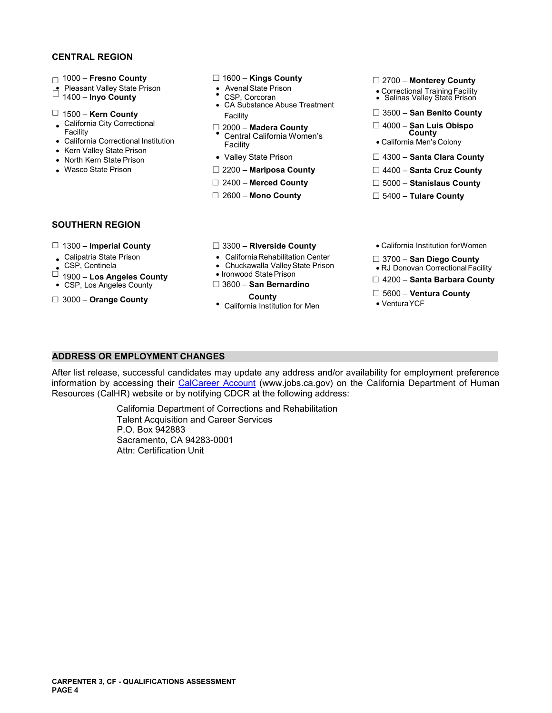# **CENTRAL REGION**

- 
- 0.00 Fresno County<br>
Pleasant Valley State Prison<br>
1400 **Inyo County**<br>
1400 **Inyo County**<br>
1500 **Kern County**<br>
1500 **Kern County**<br>
1500 **Kern County**<br>
1500 **Kern County**<br>
1602 **Alter Prison**<br>
1602 **Alter**
- 
- 
- California Correctional Institution  $\overline{F}$  Facility
- Kern Valley State Prison
- 
- 
- 
- 
- 
- ☐ 1500 **Kern County** Facility ☐ 3500 **San Benito County** 
	- California City Correctional ☐ 2000 **Madera County** ☐ 4000 **San Luis Obispo** Facility Central California Women's **County**
		-
- Wasco State Prison **DEMA** 2200 Mariposa County **DEMA** 4400 Santa Cruz County
	-
	-
- 
- 
- 
- 
- 
- 
- North Kern State Prison ● Valley State Prison □ 4300 **Santa Clara County** 
	-
	- ☐ 2400 **Merced County** ☐ 5000 **Stanislaus County**
	- ☐ 2600 **Mono County** ☐ 5400 **Tulare County**

# **SOUTHERN REGION**

- 
- 
- 
- 
- 
- ☐ 5600 **Ventura County** ☐ 3000 **Orange County County**  California Institution for Men VenturaYCF
- 
- ☐ 1300 **Imperial County** ☐ 3300 **Riverside County**  California Institution forWomen
	- Calipatria State Prison CaliforniaRehabilitation Center ☐ 3700 **San Diego County**
		-
- The Denoval Deliver County<br>
T 1900 Los Angeles County<br>
CSP, Los Angeles County<br>
County<br>
County<br>
County<br>
County<br>
County<br>
County
	-
	-
- 
- 
- 
- 
- 
- 

# **ADDRESS OR EMPLOYMENT CHANGES**

After list release, successful candidates may update any address and/or availability for employment preference information by accessing their [CalCareer Account](https://www.jobs.ca.gov/) (www.jobs.ca.gov) on the California Department of Human Resources (CalHR) website or by notifying CDCR at the following address:

> California Department of Corrections and Rehabilitation Talent Acquisition and Career Services P.O. Box 942883 Sacramento, CA 94283-0001 Attn: Certification Unit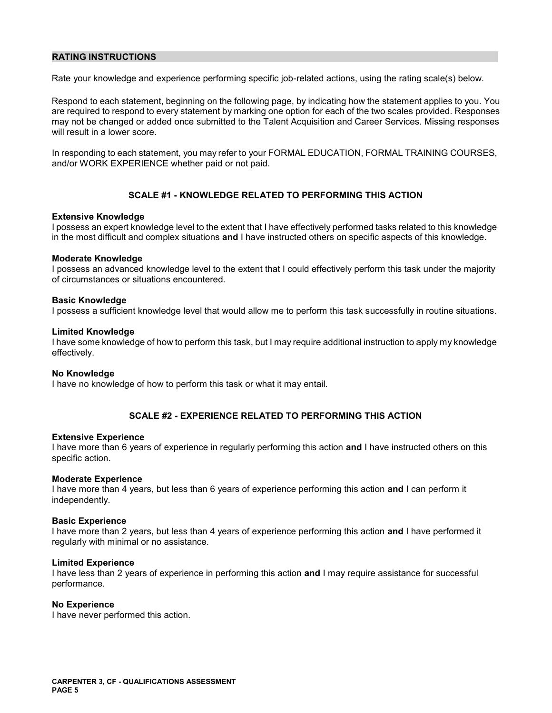# **RATING INSTRUCTIONS**

Rate your knowledge and experience performing specific job-related actions, using the rating scale(s) below.

Respond to each statement, beginning on the following page, by indicating how the statement applies to you. You are required to respond to every statement by marking one option for each of the two scales provided. Responses may not be changed or added once submitted to the Talent Acquisition and Career Services. Missing responses will result in a lower score.

In responding to each statement, you may refer to your FORMAL EDUCATION, FORMAL TRAINING COURSES, and/or WORK EXPERIENCE whether paid or not paid.

# **SCALE #1 - KNOWLEDGE RELATED TO PERFORMING THIS ACTION**

### **Extensive Knowledge**

I possess an expert knowledge level to the extent that I have effectively performed tasks related to this knowledge in the most difficult and complex situations **and** I have instructed others on specific aspects of this knowledge.

### **Moderate Knowledge**

I possess an advanced knowledge level to the extent that I could effectively perform this task under the majority of circumstances or situations encountered.

### **Basic Knowledge**

I possess a sufficient knowledge level that would allow me to perform this task successfully in routine situations.

### **Limited Knowledge**

I have some knowledge of how to perform this task, but I may require additional instruction to apply my knowledge effectively.

### **No Knowledge**

I have no knowledge of how to perform this task or what it may entail.

# **SCALE #2 - EXPERIENCE RELATED TO PERFORMING THIS ACTION**

### **Extensive Experience**

I have more than 6 years of experience in regularly performing this action **and** I have instructed others on this specific action.

### **Moderate Experience**

I have more than 4 years, but less than 6 years of experience performing this action **and** I can perform it independently.

### **Basic Experience**

I have more than 2 years, but less than 4 years of experience performing this action **and** I have performed it regularly with minimal or no assistance.

### **Limited Experience**

I have less than 2 years of experience in performing this action **and** I may require assistance for successful performance.

# **No Experience**

I have never performed this action.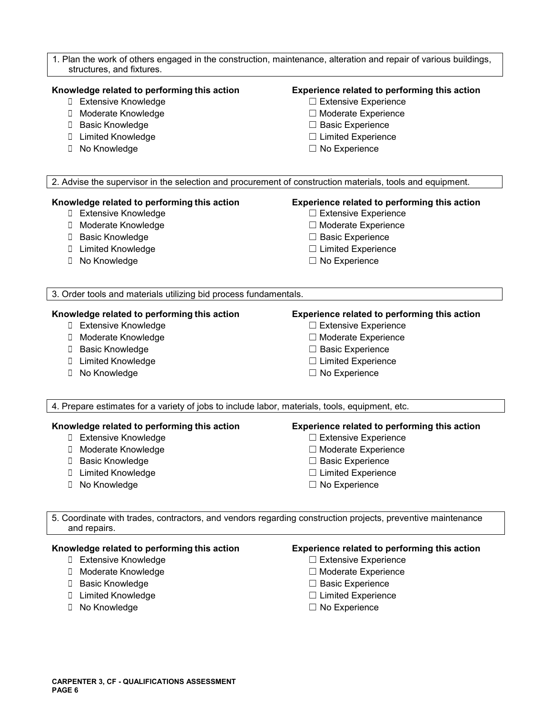1. Plan the work of others engaged in the construction, maintenance, alteration and repair of various buildings, structures, and fixtures.

- ☐ Extensive Knowledge ☐ Extensive Experience
- 
- 
- ☐ Limited Knowledge ☐ Limited Experience
- 

# **Knowledge related to performing this action Experience related to performing this action**

- 
- ☐ Moderate Knowledge ☐ Moderate Experience
- ☐ Basic Knowledge ☐ Basic Experience
	-
- ☐ No Knowledge ☐ No Experience

2. Advise the supervisor in the selection and procurement of construction materials, tools and equipment.

### **Knowledge related to performing this action Experience related to performing this action**

- ☐ Extensive Knowledge ☐ Extensive Experience
- ☐ Moderate Knowledge ☐ Moderate Experience
- ☐ Basic Knowledge ☐ Basic Experience
- ☐ Limited Knowledge ☐ Limited Experience
- 

- 
- 
- 
- 
- ☐ No Knowledge ☐ No Experience

3. Order tools and materials utilizing bid process fundamentals.

- ☐ Extensive Knowledge ☐ Extensive Experience
- ☐ Moderate Knowledge ☐ Moderate Experience
- 
- ☐ Limited Knowledge ☐ Limited Experience
- 

# **Knowledge related to performing this action Experience related to performing this action**

- 
- 
- ☐ Basic Knowledge ☐ Basic Experience
	-
- ☐ No Knowledge ☐ No Experience

4. Prepare estimates for a variety of jobs to include labor, materials, tools, equipment, etc.

### **Knowledge related to performing this action Experience related to performing this action**

- 
- ☐ Moderate Knowledge ☐ Moderate Experience
- ☐ Basic Knowledge ☐ Basic Experience
- ☐ Limited Knowledge ☐ Limited Experience
- ☐ No Knowledge ☐ No Experience

- ☐ Extensive Knowledge ☐ Extensive Experience
	-
	-
	-
	-

5. Coordinate with trades, contractors, and vendors regarding construction projects, preventive maintenance and repairs.

- **□** Extensive Knowledge **□ Extensive Experience**
- ☐ Moderate Knowledge ☐ Moderate Experience
- **□ Basic Knowledge □ Basic Experience**
- ☐ Limited Knowledge ☐ Limited Experience
- ☐ No Knowledge ☐ No Experience

### **Knowledge related to performing this action Experience related to performing this action**

- 
- 
- 
- 
-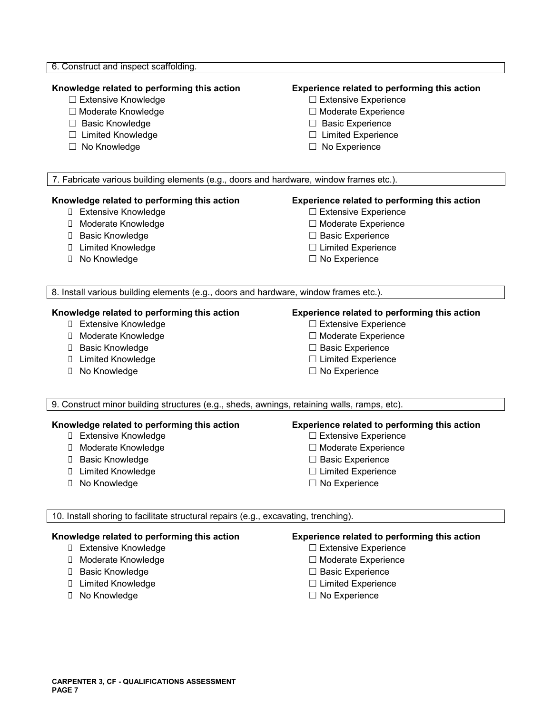### 6. Construct and inspect scaffolding.

- ☐ Extensive Knowledge ☐ Extensive Experience
- ☐ Moderate Knowledge ☐ Moderate Experience
- ☐ Basic Knowledge ☐ Basic Experience
- ☐ Limited Knowledge ☐ Limited Experience
- ☐ No Knowledge ☐ No Experience

# **Knowledge related to performing this action Experience related to performing this action**

- 
- 
- 
- 
- 

7. Fabricate various building elements (e.g., doors and hardware, window frames etc.).

- **□ Extensive Knowledge 
 Extensive Experience**
- ☐ Moderate Knowledge ☐ Moderate Experience
- ☐ Basic Knowledge ☐ Basic Experience
- **□** Limited Knowledge **D** Limited Experience
- 

# **Knowledge related to performing this action Experience related to performing this action**

- 
- 
- 
- 
- ☐ No Knowledge ☐ No Experience

8. Install various building elements (e.g., doors and hardware, window frames etc.).

- 
- 
- 
- ☐ Limited Knowledge ☐ Limited Experience
- 

# **Knowledge related to performing this action Experience related to performing this action**

- ☐ Extensive Knowledge ☐ Extensive Experience
- ☐ Moderate Knowledge ☐ Moderate Experience
- ☐ Basic Knowledge ☐ Basic Experience
	-
- ☐ No Knowledge ☐ No Experience

9. Construct minor building structures (e.g., sheds, awnings, retaining walls, ramps, etc).

- ☐ Extensive Knowledge ☐ Extensive Experience
- ☐ Moderate Knowledge ☐ Moderate Experience
- ☐ Basic Knowledge ☐ Basic Experience
- 
- 

# **Knowledge related to performing this action Experience related to performing this action**

- 
- 
- 
- ☐ Limited Knowledge ☐ Limited Experience
- ☐ No Knowledge ☐ No Experience

10. Install shoring to facilitate structural repairs (e.g., excavating, trenching).

- 
- ☐ Moderate Knowledge ☐ Moderate Experience
- ☐ Basic Knowledge ☐ Basic Experience
- ☐ Limited Knowledge ☐ Limited Experience
- ☐ No Knowledge ☐ No Experience

# **Knowledge related to performing this action Experience related to performing this action**

- ☐ Extensive Knowledge ☐ Extensive Experience
	-
	-
	-
	-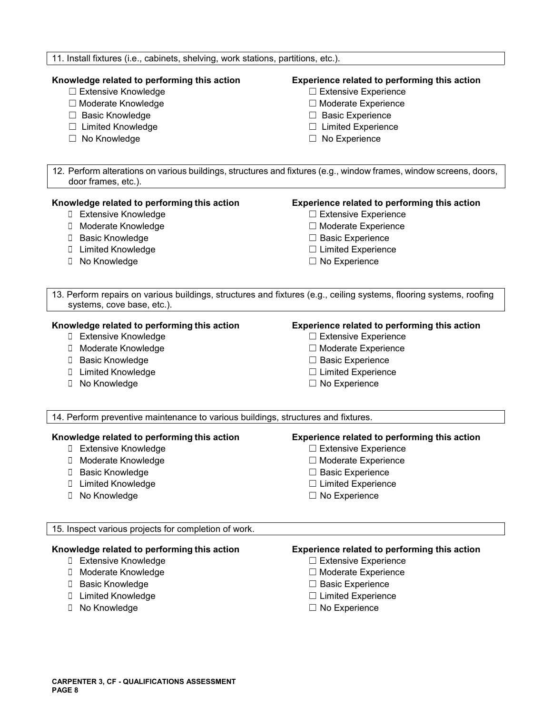| 11. Install fixtures (i.e., cabinets, shelving, work stations, partitions, etc.).                                                                                                 |                                                                                                                                                                                           |
|-----------------------------------------------------------------------------------------------------------------------------------------------------------------------------------|-------------------------------------------------------------------------------------------------------------------------------------------------------------------------------------------|
| Knowledge related to performing this action<br>□ Extensive Knowledge<br>□ Moderate Knowledge<br>□ Basic Knowledge<br>□ Limited Knowledge<br>$\Box$ No Knowledge                   | Experience related to performing this action<br>□ Extensive Experience<br>□ Moderate Experience<br>□ Basic Experience<br>$\Box$ Limited Experience<br>$\Box$ No Experience                |
| door frames, etc.).                                                                                                                                                               | 12. Perform alterations on various buildings, structures and fixtures (e.g., window frames, window screens, doors,                                                                        |
| Knowledge related to performing this action<br>□ Extensive Knowledge<br>□ Moderate Knowledge<br>□ Basic Knowledge<br><b>I</b> Limited Knowledge<br>□ No Knowledge                 | Experience related to performing this action<br>□ Extensive Experience<br>□ Moderate Experience<br>□ Basic Experience<br>$\Box$ Limited Experience<br>$\Box$ No Experience                |
| systems, cove base, etc.).                                                                                                                                                        | 13. Perform repairs on various buildings, structures and fixtures (e.g., ceiling systems, flooring systems, roofing                                                                       |
| Knowledge related to performing this action<br>□ Extensive Knowledge<br>□ Moderate Knowledge<br>□ Basic Knowledge<br><b>Limited Knowledge</b><br>Ш<br>No Knowledge<br>O.          | Experience related to performing this action<br>$\Box$ Extensive Experience<br>□ Moderate Experience<br>$\Box$ Basic Experience<br>$\Box$ Limited Experience<br>$\Box$ No Experience      |
| 14. Perform preventive maintenance to various buildings, structures and fixtures.                                                                                                 |                                                                                                                                                                                           |
| Knowledge related to performing this action<br>□ Extensive Knowledge<br>Moderate Knowledge<br>Ц<br><b>Basic Knowledge</b><br><b>Limited Knowledge</b><br>Ш<br>No Knowledge<br>Ш   | Experience related to performing this action<br>$\Box$ Extensive Experience<br>$\Box$ Moderate Experience<br>$\Box$ Basic Experience<br>$\Box$ Limited Experience<br>$\Box$ No Experience |
| 15. Inspect various projects for completion of work.                                                                                                                              |                                                                                                                                                                                           |
| Knowledge related to performing this action<br>□ Extensive Knowledge<br>Moderate Knowledge<br>0.<br><b>Basic Knowledge</b><br>Ш<br><b>Limited Knowledge</b><br>Ш.<br>No Knowledge | Experience related to performing this action<br>$\Box$ Extensive Experience<br>□ Moderate Experience<br>$\Box$ Basic Experience<br>□ Limited Experience<br>$\Box$ No Experience           |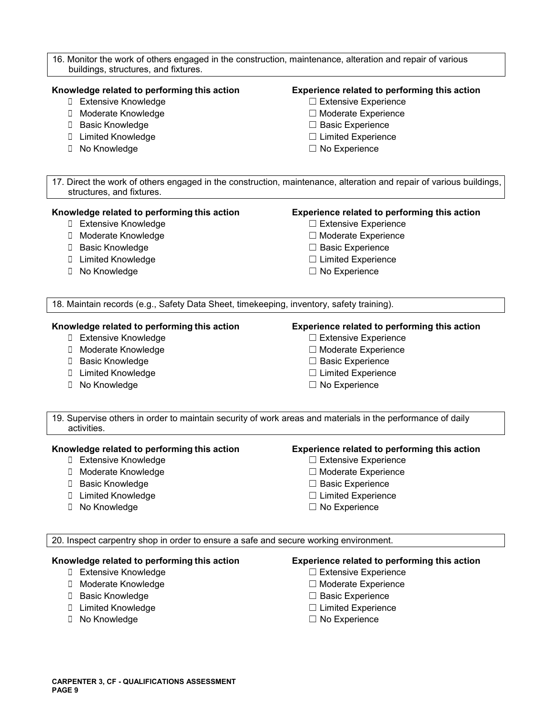16. Monitor the work of others engaged in the construction, maintenance, alteration and repair of various buildings, structures, and fixtures.

- ☐ Extensive Knowledge ☐ Extensive Experience
- ☐ Moderate Knowledge ☐ Moderate Experience
- ☐ Basic Knowledge ☐ Basic Experience
- ☐ Limited Knowledge ☐ Limited Experience
- ☐ No Knowledge ☐ No Experience

# **Knowledge related to performing this action Experience related to performing this action**

- 
- 
- 
- 
- 

17. Direct the work of others engaged in the construction, maintenance, alteration and repair of various buildings, structures, and fixtures.

### **Knowledge related to performing this action Experience related to performing this action**

- ☐ Extensive Knowledge ☐ Extensive Experience
- 
- 
- ☐ Limited Knowledge ☐ Limited Experience
- 

- 
- ☐ Moderate Knowledge ☐ Moderate Experience
- ☐ Basic Knowledge ☐ Basic Experience
	-
- ☐ No Knowledge ☐ No Experience

18. Maintain records (e.g., Safety Data Sheet, timekeeping, inventory, safety training).

# **Knowledge related to performing this action Experience related to performing this action**

- ☐ Extensive Knowledge ☐ Extensive Experience
- ☐ Moderate Knowledge ☐ Moderate Experience
- ☐ Basic Knowledge ☐ Basic Experience
- ☐ Limited Knowledge ☐ Limited Experience
- ☐ No Knowledge ☐ No Experience

- 
- 
- 
- 
- 

19. Supervise others in order to maintain security of work areas and materials in the performance of daily activities.

### **Knowledge related to performing this action Experience related to performing this action**

- 
- ☐ Moderate Knowledge ☐ Moderate Experience
- 
- 
- 

- **□** Extensive Knowledge **□ Extensive Experience** 
	-
- ☐ Basic Knowledge ☐ Basic Experience
- ☐ Limited Knowledge ☐ Limited Experience
- ☐ No Knowledge ☐ No Experience

20. Inspect carpentry shop in order to ensure a safe and secure working environment.

### **Knowledge related to performing this action Experience related to performing this action**

- 
- ☐ Moderate Knowledge ☐ Moderate Experience
- ☐ Basic Knowledge ☐ Basic Experience
- ☐ Limited Knowledge ☐ Limited Experience
- 

- ☐ Extensive Knowledge ☐ Extensive Experience
	-
	-
	-
- ☐ No Knowledge ☐ No Experience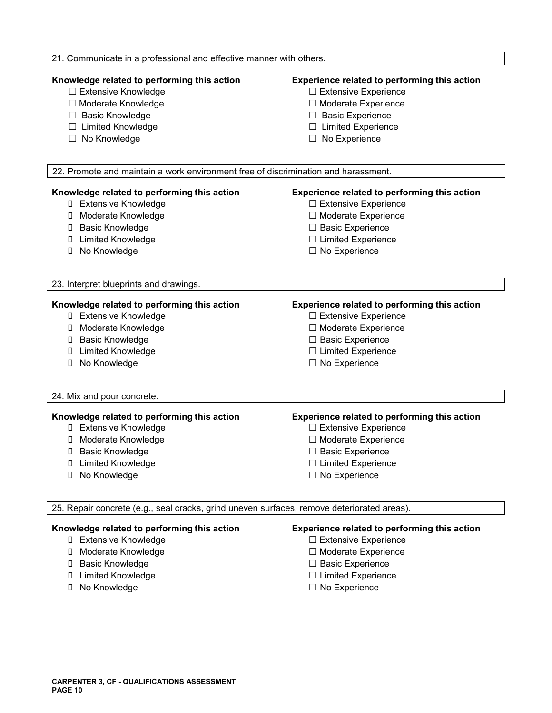| 21. Communicate in a professional and effective manner with others.                        |                                                                             |
|--------------------------------------------------------------------------------------------|-----------------------------------------------------------------------------|
| Knowledge related to performing this action<br>□ Extensive Knowledge                       | Experience related to performing this action<br>$\Box$ Extensive Experience |
| □ Moderate Knowledge                                                                       | □ Moderate Experience                                                       |
| □ Basic Knowledge                                                                          | □ Basic Experience                                                          |
| □ Limited Knowledge                                                                        | $\Box$ Limited Experience                                                   |
| $\Box$ No Knowledge                                                                        | $\Box$ No Experience                                                        |
|                                                                                            |                                                                             |
| 22. Promote and maintain a work environment free of discrimination and harassment.         |                                                                             |
| Knowledge related to performing this action                                                | Experience related to performing this action                                |
| □ Extensive Knowledge                                                                      | $\Box$ Extensive Experience                                                 |
| Moderate Knowledge<br>Ш                                                                    | □ Moderate Experience                                                       |
| <b>Basic Knowledge</b><br>Ш                                                                | □ Basic Experience                                                          |
| <b>Limited Knowledge</b><br>Ш                                                              | $\Box$ Limited Experience                                                   |
| No Knowledge<br>Ш                                                                          | $\Box$ No Experience                                                        |
| 23. Interpret blueprints and drawings.                                                     |                                                                             |
| Knowledge related to performing this action                                                | Experience related to performing this action                                |
| <b>D</b> Extensive Knowledge                                                               | $\Box$ Extensive Experience                                                 |
| Moderate Knowledge<br>Ш                                                                    | □ Moderate Experience                                                       |
| <b>Basic Knowledge</b><br>Ш                                                                | □ Basic Experience                                                          |
| <b>Limited Knowledge</b><br>Ц                                                              | $\Box$ Limited Experience                                                   |
| No Knowledge<br>О                                                                          | □ No Experience                                                             |
| 24. Mix and pour concrete.                                                                 |                                                                             |
| Knowledge related to performing this action                                                | Experience related to performing this action                                |
| □ Extensive Knowledge                                                                      | $\Box$ Extensive Experience                                                 |
| Moderate Knowledge<br>Ш                                                                    | □ Moderate Experience                                                       |
| <b>Basic Knowledge</b><br>$\Box$                                                           | $\Box$ Basic Experience                                                     |
| <b>Limited Knowledge</b>                                                                   | $\Box$ Limited Experience                                                   |
| No Knowledge                                                                               | $\Box$ No Experience                                                        |
| 25. Repair concrete (e.g., seal cracks, grind uneven surfaces, remove deteriorated areas). |                                                                             |
| Knowledge related to performing this action<br>□ Extensive Knowledge                       | Experience related to performing this action<br>□ Extensive Experience      |

- ☐ Moderate Knowledge ☐ Moderate Experience
- 
- **□ Basic Knowledge □ Basic Expedience**
- **□ No Knowledge**
- 
- 
- 
- □ Limited Experience<br>□ No Experience
-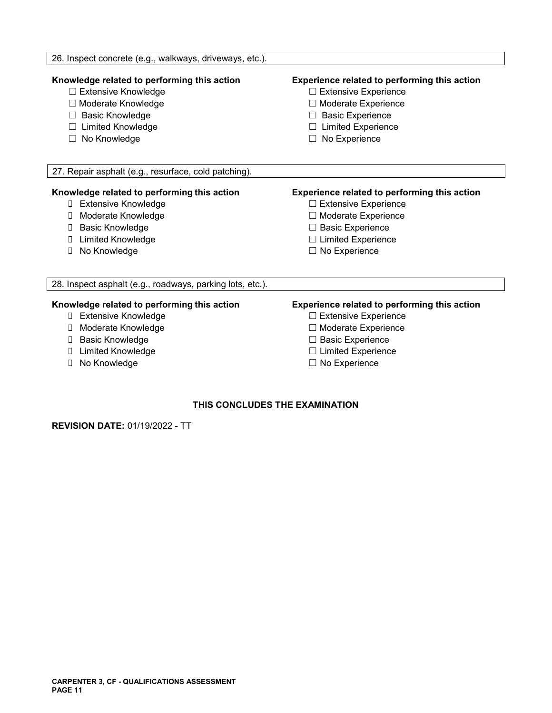| Experience related to performing this action<br>$\Box$ Extensive Experience<br>□ Moderate Experience<br><b>Basic Experience</b><br><b>Limited Experience</b><br>No Experience        |
|--------------------------------------------------------------------------------------------------------------------------------------------------------------------------------------|
|                                                                                                                                                                                      |
| Experience related to performing this action<br>□ Extensive Experience<br>□ Moderate Experience<br>$\Box$ Basic Experience<br>$\Box$ Limited Experience<br>$\Box$ No Experience      |
|                                                                                                                                                                                      |
| Experience related to performing this action<br>$\Box$ Extensive Experience<br>□ Moderate Experience<br><b>Basic Experience</b><br><b>Limited Experience</b><br>$\Box$ No Experience |
|                                                                                                                                                                                      |

# **THIS CONCLUDES THE EXAMINATION**

**REVISION DATE:** 01/19/2022 - TT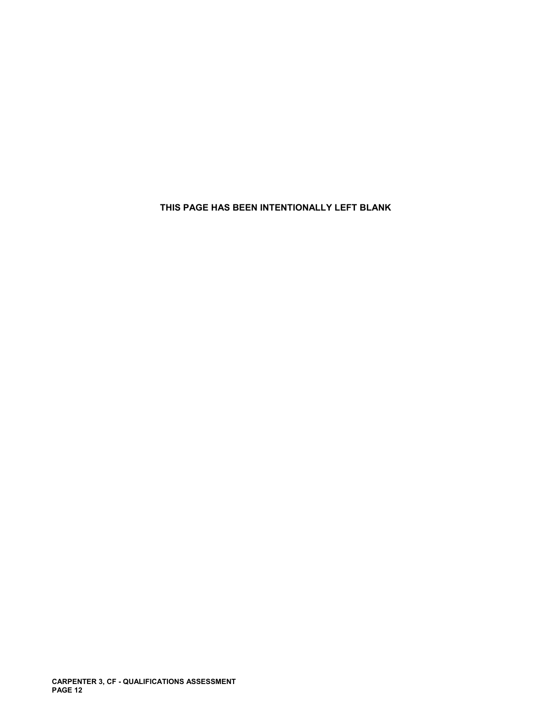**THIS PAGE HAS BEEN INTENTIONALLY LEFT BLANK**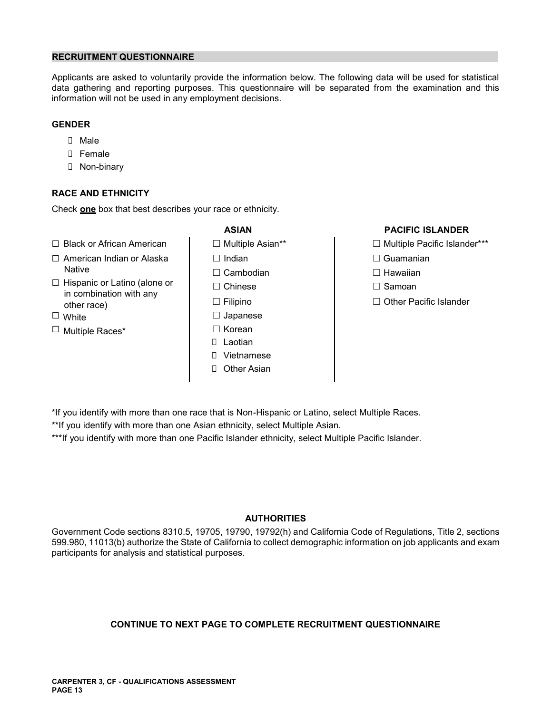# **RECRUITMENT QUESTIONNAIRE**

Applicants are asked to voluntarily provide the information below. The following data will be used for statistical data gathering and reporting purposes. This questionnaire will be separated from the examination and this information will not be used in any employment decisions.

# **GENDER**

- ☐ Male
- ☐ Female
- ☐ Non-binary

# **RACE AND ETHNICITY**

Check **one** box that best describes your race or ethnicity.

- ☐ Black or African American ☐ Multiple Asian\*\* ☐ Multiple Pacific Islander\*\*\*
- ☐ American Indian or Alaska ☐ Indian ☐ Guamanian Native ☐ Cambodian ☐ Hawaiian
- □ Hispanic or Latino (alone or  $\Box$  Chinese  $\Box$   $\Box$  Samoan in combination with any in combination with any  $\Box$  Filipino  $\Box$   $\Box$  Other Pacific Islander  $\Box$  Other Pacific Islander
- 
- ☐ Multiple Races\* ☐ Korean
- 
- 
- 
- 
- 
- 
- □ White  $\Box$  Japanese
	-
	- □ Laotian
	- ☐ Vietnamese
	- □ Other Asian

# **ASIAN PACIFIC ISLANDER**

- 
- 
- 
- 
- 

\*If you identify with more than one race that is Non-Hispanic or Latino, select Multiple Races.

\*\*If you identify with more than one Asian ethnicity, select Multiple Asian.

\*\*\*If you identify with more than one Pacific Islander ethnicity, select Multiple Pacific Islander.

# **AUTHORITIES**

Government Code sections 8310.5, 19705, 19790, 19792(h) and California Code of Regulations, Title 2, sections 599.980, 11013(b) authorize the State of California to collect demographic information on job applicants and exam participants for analysis and statistical purposes.

# **CONTINUE TO NEXT PAGE TO COMPLETE RECRUITMENT QUESTIONNAIRE**